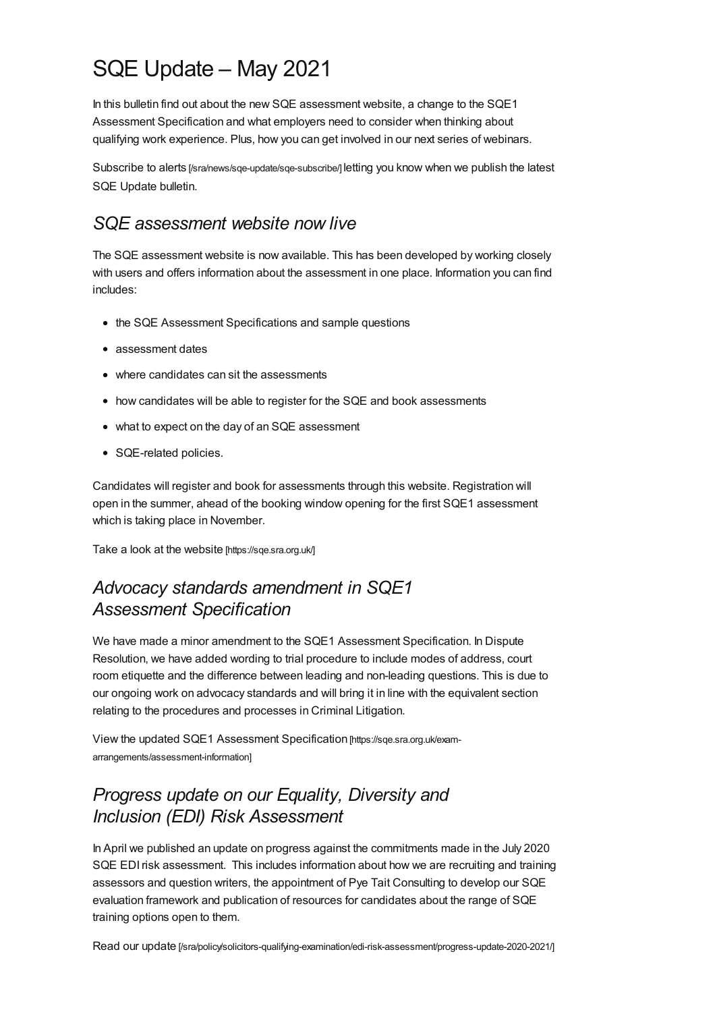# SQE Update – May 2021

In this bulletin find out about the new SQE assessment website, a change to the SQE1 Assessment Specification and what employers need to consider when thinking about qualifying work experience. Plus, how you can get involved in our next series of webinars.

Subscribe to alerts [\[/sra/news/sqe-update/sqe-subscribe/\]](https://www.sra.org.uk/sra/news/sqe-update/sqe-subscribe/) letting you know when we publish the latest SQE Update bulletin.

### *SQE assessment website now live*

The SQE assessment website is now available. This has been developed by working closely with users and offers information about the assessment in one place. Information you can find includes:

- the SQE Assessment Specifications and sample questions
- assessment dates
- where candidates can sit the assessments
- how candidates will be able to register for the SQE and book assessments
- what to expect on the day of an SQE assessment
- SQE-related policies.

Candidates will register and book for assessments through this website. Registration will open in the summer, ahead of the booking window opening for the first SQE1 assessment which is taking place in November.

Take a look at the website [\[https://sqe.sra.org.uk/\]](https://sqe.sra.org.uk/)

# *Advocacy standards amendment in SQE1 Assessment Specification*

We have made a minor amendment to the SQE1 Assessment Specification. In Dispute Resolution, we have added wording to trial procedure to include modes of address, court room etiquette and the difference between leading and non-leading questions. This is due to our ongoing work on advocacy standards and will bring it in line with the equivalent section relating to the procedures and processes in Criminal Litigation.

View the updated SQE1 Assessment Specification [https://sqe.sra.org.uk/exam[arrangements/assessment-information\]](https://sqe.sra.org.uk/exam-arrangements/assessment-information)

# *Progress update on our Equality, Diversity and Inclusion (EDI) Risk Assessment*

In April we published an update on progress against the commitments made in the July 2020 SQE EDIrisk assessment. This includes information about how we are recruiting and training assessors and question writers, the appointment of Pye Tait Consulting to develop our SQE evaluation framework and publication of resources for candidates about the range of SQE training options open to them.

Read our update [\[/sra/policy/solicitors-qualifying-examination/edi-risk-assessment/progress-update-2020-2021/\]](https://www.sra.org.uk/sra/policy/solicitors-qualifying-examination/edi-risk-assessment/progress-update-2020-2021/)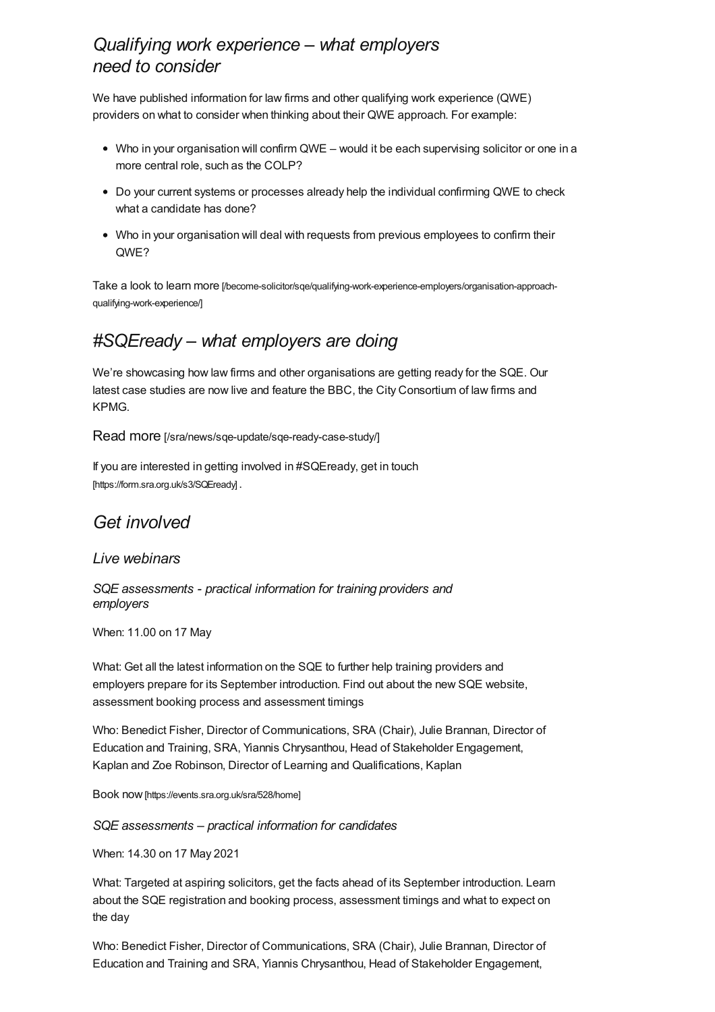## *Qualifying work experience – what employers need to consider*

We have published information for law firms and other qualifying work experience (QWE) providers on what to consider when thinking about their QWE approach. For example:

- Who in your organisation will confirm QWE would it be each supervising solicitor or one in a more central role, such as the COLP?
- Do your current systems or processes already help the individual confirming QWE to check what a candidate has done?
- Who in your organisation will deal with requests from previous employees to confirm their QWE?

Take a look to learn more [\[/become-solicitor/sqe/qualifying-work-experience-employers/organisation-approach](https://www.sra.org.uk/become-solicitor/sqe/qualifying-work-experience-employers/organisation-approach-qualifying-work-experience/)qualifying-work-experience/]

# *#SQEready – what employers are doing*

We're showcasing how law firms and other organisations are getting ready for the SQE. Our latest case studies are now live and feature the BBC, the City Consortium of law firms and KPMG.

Read more [\[/sra/news/sqe-update/sqe-ready-case-study/\]](https://www.sra.org.uk/sra/news/sqe-update/sqe-ready-case-study/)

If you are interested in getting involved in #SQEready, get in touch [\[https://form.sra.org.uk/s3/SQEready\]](https://form.sra.org.uk/s3/SQEready) .

# *Get involved*

#### *Live webinars*

*SQE assessments - practical information for training providers and employers*

When: 11.00 on 17 May

What: Get all the latest information on the SQE to further help training providers and employers prepare for its September introduction. Find out about the new SQE website, assessment booking process and assessment timings

Who: Benedict Fisher, Director of Communications, SRA (Chair), Julie Brannan, Director of Education and Training, SRA, Yiannis Chrysanthou, Head of Stakeholder Engagement, Kaplan and Zoe Robinson, Director of Learning and Qualifications, Kaplan

Book now[\[https://events.sra.org.uk/sra/528/home\]](https://events.sra.org.uk/sra/528/home)

*SQE assessments – practical information for candidates*

When: 14.30 on 17 May 2021

What: Targeted at aspiring solicitors, get the facts ahead of its September introduction. Learn about the SQE registration and booking process, assessment timings and what to expect on the day

Who: Benedict Fisher, Director of Communications, SRA (Chair), Julie Brannan, Director of Education and Training and SRA, Yiannis Chrysanthou, Head of Stakeholder Engagement,